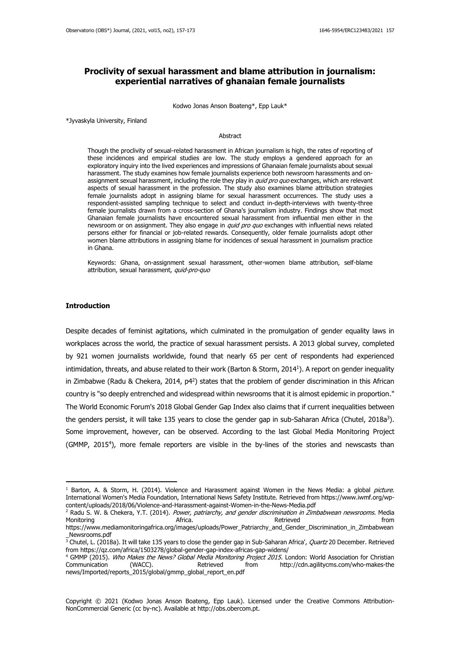# **Proclivity of sexual harassment and blame attribution in journalism: experiential narratives of ghanaian female journalists**

Kodwo Jonas Anson Boateng\*, Epp Lauk\*

\*Jyvaskyla University, Finland

#### **Abstract**

Though the proclivity of sexual-related harassment in African journalism is high, the rates of reporting of these incidences and empirical studies are low. The study employs a gendered approach for an exploratory inquiry into the lived experiences and impressions of Ghanaian female journalists about sexual harassment. The study examines how female journalists experience both newsroom harassments and onassignment sexual harassment, including the role they play in *quid pro quo* exchanges, which are relevant aspects of sexual harassment in the profession. The study also examines blame attribution strategies female journalists adopt in assigning blame for sexual harassment occurrences. The study uses a respondent-assisted sampling technique to select and conduct in-depth-interviews with twenty-three female journalists drawn from a cross-section of Ghana's journalism industry. Findings show that most Ghanaian female journalists have encountered sexual harassment from influential men either in the newsroom or on assignment. They also engage in *quid pro quo* exchanges with influential news related persons either for financial or job-related rewards. Consequently, older female journalists adopt other women blame attributions in assigning blame for incidences of sexual harassment in journalism practice in Ghana.

Keywords: Ghana, on-assignment sexual harassment, other-women blame attribution, self-blame attribution, sexual harassment, quid-pro-quo

#### **Introduction**

Despite decades of feminist agitations, which culminated in the promulgation of gender equality laws in workplaces across the world, the practice of sexual harassment persists. A 2013 global survey, completed by 921 women journalists worldwide, found that nearly 65 per cent of respondents had experienced intimidation, threats, and abuse related to their work (Barton & Storm, 2014<sup>1</sup> ). A report on gender inequality in Zimbabwe (Radu & Chekera, 2014, p4<sup>2</sup>) states that the problem of gender discrimination in this African country is "so deeply entrenched and widespread within newsrooms that it is almost epidemic in proportion." The World Economic Forum's 2018 Global Gender Gap Index also claims that if current inequalities between the genders persist, it will take 135 years to close the gender gap in sub-Saharan Africa (Chutel, 2018a<sup>3</sup>). Some improvement, however, can be observed. According to the last Global Media Monitoring Project (GMMP, 2015<sup>4</sup>), more female reporters are visible in the by-lines of the stories and newscasts than

<sup>&</sup>lt;sup>1</sup> Barton, A. & Storm, H. (2014). Violence and Harassment against Women in the News Media: a global *picture*. International Women's Media Foundation, International News Safety Institute. Retrieved fro[m https://www.iwmf.org/wp](about:blank)[content/uploads/2018/06/Violence-and-Harassment-against-Women-in-the-News-Media.pdf](about:blank)

<sup>&</sup>lt;sup>2</sup> Radu S. W. & Chekera, Y.T. (2014). Power, patriarchy, and gender discrimination in Zimbabwean newsrooms. Media Monitoring and the contract of the Africa. Africa. Africal and the Retrieved from the from the from the from the  $\lambda$ [https://www.mediamonitoringafrica.org/images/uploads/Power\\_Patriarchy\\_and\\_Gender\\_Discrimination\\_in\\_Zimbabwean](about:blank)

[\\_Newsrooms.pdf](about:blank) <sup>3</sup> Chutel, L. (2018a). It will take 135 years to close the gender gap in Sub-Saharan Africa', *Quartz* 20 December. Retrieved from [https://qz.com/africa/1503278/global-gender-gap-index-africas-gap-widens/](about:blank)

<sup>&</sup>lt;sup>4</sup> GMMP (2015). Who Makes the News? Global Media Monitoring Project 2015. London: World Association for Christian Communication (WACC). Retrieved from [http://cdn.agilitycms.com/who-makes-the](about:blank)  [news/Imported/reports\\_2015/global/gmmp\\_global\\_report\\_en.pdf](about:blank)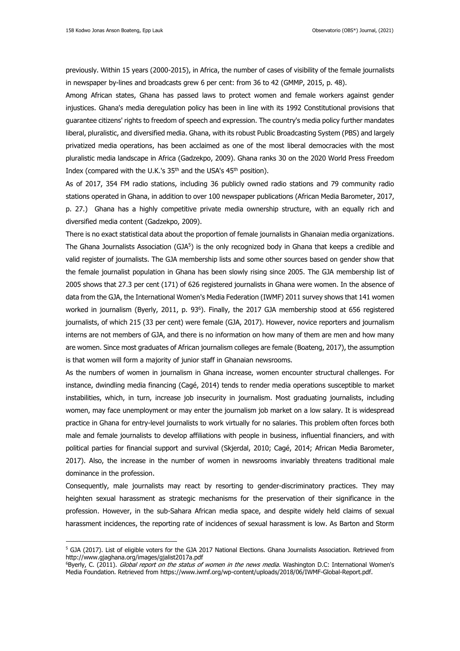previously. Within 15 years (2000-2015), in Africa, the number of cases of visibility of the female journalists in newspaper by-lines and broadcasts grew 6 per cent: from 36 to 42 (GMMP, 2015, p. 48).

Among African states, Ghana has passed laws to protect women and female workers against gender injustices. Ghana's media deregulation policy has been in line with its 1992 Constitutional provisions that guarantee citizens' rights to freedom of speech and expression. The country's media policy further mandates liberal, pluralistic, and diversified media. Ghana, with its robust Public Broadcasting System (PBS) and largely privatized media operations, has been acclaimed as one of the most liberal democracies with the most pluralistic media landscape in Africa (Gadzekpo, 2009). Ghana ranks 30 on the 2020 World Press Freedom Index (compared with the U.K.'s 35<sup>th</sup> and the USA's 45<sup>th</sup> position).

As of 2017, 354 FM radio stations, including 36 publicly owned radio stations and 79 community radio stations operated in Ghana, in addition to over 100 newspaper publications (African Media Barometer, 2017, p. 27.) Ghana has a highly competitive private media ownership structure, with an equally rich and diversified media content (Gadzekpo, 2009).

There is no exact statistical data about the proportion of female journalists in Ghanaian media organizations. The Ghana Journalists Association (GJA<sup>5</sup>) is the only recognized body in Ghana that keeps a credible and valid register of journalists. The GJA membership lists and some other sources based on gender show that the female journalist population in Ghana has been slowly rising since 2005. The GJA membership list of 2005 shows that 27.3 per cent (171) of 626 registered journalists in Ghana were women. In the absence of data from the GJA, the International Women's Media Federation (IWMF) 2011 survey shows that 141 women worked in journalism (Byerly, 2011, p. 93<sup>6</sup>). Finally, the 2017 GJA membership stood at 656 registered journalists, of which 215 (33 per cent) were female (GJA, 2017). However, novice reporters and journalism interns are not members of GJA, and there is no information on how many of them are men and how many are women. Since most graduates of African journalism colleges are female (Boateng, 2017), the assumption is that women will form a majority of junior staff in Ghanaian newsrooms.

As the numbers of women in journalism in Ghana increase, women encounter structural challenges. For instance, dwindling media financing (Cagé, 2014) tends to render media operations susceptible to market instabilities, which, in turn, increase job insecurity in journalism. Most graduating journalists, including women, may face unemployment or may enter the journalism job market on a low salary. It is widespread practice in Ghana for entry-level journalists to work virtually for no salaries. This problem often forces both male and female journalists to develop affiliations with people in business, influential financiers, and with political parties for financial support and survival (Skjerdal, 2010; Cagé, 2014; African Media Barometer, 2017). Also, the increase in the number of women in newsrooms invariably threatens traditional male dominance in the profession.

Consequently, male journalists may react by resorting to gender-discriminatory practices. They may heighten sexual harassment as strategic mechanisms for the preservation of their significance in the profession. However, in the sub-Sahara African media space, and despite widely held claims of sexual harassment incidences, the reporting rate of incidences of sexual harassment is low. As Barton and Storm

<sup>&</sup>lt;sup>5</sup> GJA (2017). List of eligible voters for the GJA 2017 National Elections. Ghana Journalists Association. Retrieved from [http://www.gjaghana.org/images/gjalist2017a.pdf](about:blank)

<sup>&</sup>lt;sup>6</sup>Byerly, C. (2011). Global report on the status of women in the news media. Washington D.C: International Women's Media Foundation. Retrieved from [https://www.iwmf.org/wp-content/uploads/2018/06/IWMF-Global-Report.pdf.](about:blank)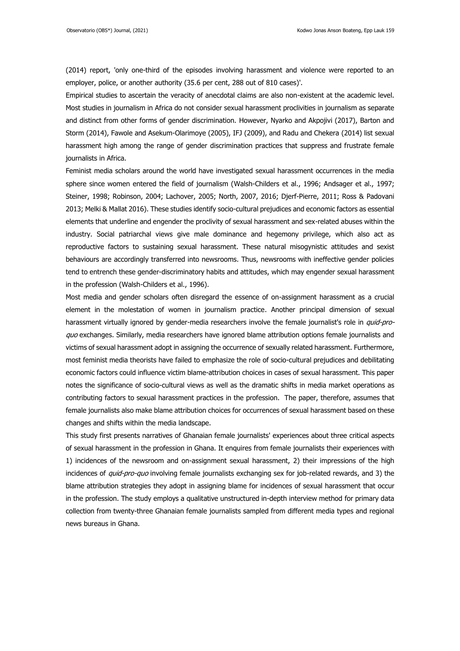(2014) report, 'only one-third of the episodes involving harassment and violence were reported to an employer, police, or another authority (35.6 per cent, 288 out of 810 cases)'.

Empirical studies to ascertain the veracity of anecdotal claims are also non-existent at the academic level. Most studies in journalism in Africa do not consider sexual harassment proclivities in journalism as separate and distinct from other forms of gender discrimination. However, Nyarko and Akpojivi (2017), Barton and Storm (2014), Fawole and Asekum-Olarimoye (2005), IFJ (2009), and Radu and Chekera (2014) list sexual harassment high among the range of gender discrimination practices that suppress and frustrate female journalists in Africa.

Feminist media scholars around the world have investigated sexual harassment occurrences in the media sphere since women entered the field of journalism (Walsh-Childers et al., 1996; Andsager et al., 1997; Steiner, 1998; Robinson, 2004; Lachover, 2005; North, 2007, 2016; Djerf-Pierre, 2011; Ross & Padovani 2013; Melki & Mallat 2016). These studies identify socio-cultural prejudices and economic factors as essential elements that underline and engender the proclivity of sexual harassment and sex-related abuses within the industry. Social patriarchal views give male dominance and hegemony privilege, which also act as reproductive factors to sustaining sexual harassment. These natural misogynistic attitudes and sexist behaviours are accordingly transferred into newsrooms. Thus, newsrooms with ineffective gender policies tend to entrench these gender-discriminatory habits and attitudes, which may engender sexual harassment in the profession (Walsh-Childers et al., 1996).

Most media and gender scholars often disregard the essence of on-assignment harassment as a crucial element in the molestation of women in journalism practice. Another principal dimension of sexual harassment virtually ignored by gender-media researchers involve the female journalist's role in quid-proquo exchanges. Similarly, media researchers have ignored blame attribution options female journalists and victims of sexual harassment adopt in assigning the occurrence of sexually related harassment. Furthermore, most feminist media theorists have failed to emphasize the role of socio-cultural prejudices and debilitating economic factors could influence victim blame-attribution choices in cases of sexual harassment. This paper notes the significance of socio-cultural views as well as the dramatic shifts in media market operations as contributing factors to sexual harassment practices in the profession. The paper, therefore, assumes that female journalists also make blame attribution choices for occurrences of sexual harassment based on these changes and shifts within the media landscape.

This study first presents narratives of Ghanaian female journalists' experiences about three critical aspects of sexual harassment in the profession in Ghana. It enquires from female journalists their experiences with 1) incidences of the newsroom and on-assignment sexual harassment, 2) their impressions of the high incidences of quid-pro-quo involving female journalists exchanging sex for job-related rewards, and 3) the blame attribution strategies they adopt in assigning blame for incidences of sexual harassment that occur in the profession. The study employs a qualitative unstructured in-depth interview method for primary data collection from twenty-three Ghanaian female journalists sampled from different media types and regional news bureaus in Ghana.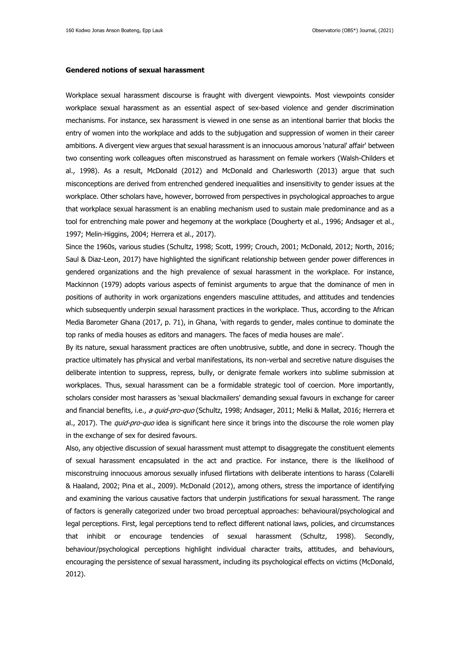#### **Gendered notions of sexual harassment**

Workplace sexual harassment discourse is fraught with divergent viewpoints. Most viewpoints consider workplace sexual harassment as an essential aspect of sex-based violence and gender discrimination mechanisms. For instance, sex harassment is viewed in one sense as an intentional barrier that blocks the entry of women into the workplace and adds to the subjugation and suppression of women in their career ambitions. A divergent view argues that sexual harassment is an innocuous amorous 'natural' affair' between two consenting work colleagues often misconstrued as harassment on female workers (Walsh-Childers et al., 1998). As a result, McDonald (2012) and McDonald and Charlesworth (2013) argue that such misconceptions are derived from entrenched gendered inequalities and insensitivity to gender issues at the workplace. Other scholars have, however, borrowed from perspectives in psychological approaches to argue that workplace sexual harassment is an enabling mechanism used to sustain male predominance and as a tool for entrenching male power and hegemony at the workplace (Dougherty et al., 1996; Andsager et al., 1997; Melin-Higgins, 2004; Herrera et al., 2017).

Since the 1960s, various studies (Schultz, 1998; Scott, 1999; Crouch, 2001; McDonald, 2012; North, 2016; Saul & Diaz-Leon, 2017) have highlighted the significant relationship between gender power differences in gendered organizations and the high prevalence of sexual harassment in the workplace. For instance, Mackinnon (1979) adopts various aspects of feminist arguments to argue that the dominance of men in positions of authority in work organizations engenders masculine attitudes, and attitudes and tendencies which subsequently underpin sexual harassment practices in the workplace. Thus, according to the African Media Barometer Ghana (2017, p. 71), in Ghana, 'with regards to gender, males continue to dominate the top ranks of media houses as editors and managers. The faces of media houses are male'.

By its nature, sexual harassment practices are often unobtrusive, subtle, and done in secrecy. Though the practice ultimately has physical and verbal manifestations, its non-verbal and secretive nature disguises the deliberate intention to suppress, repress, bully, or denigrate female workers into sublime submission at workplaces. Thus, sexual harassment can be a formidable strategic tool of coercion. More importantly, scholars consider most harassers as 'sexual blackmailers' demanding sexual favours in exchange for career and financial benefits, i.e., a quid-pro-quo (Schultz, 1998; Andsager, 2011; Melki & Mallat, 2016; Herrera et al., 2017). The *quid-pro-quo* idea is significant here since it brings into the discourse the role women play in the exchange of sex for desired favours.

Also, any objective discussion of sexual harassment must attempt to disaggregate the constituent elements of sexual harassment encapsulated in the act and practice. For instance, there is the likelihood of misconstruing innocuous amorous sexually infused flirtations with deliberate intentions to harass (Colarelli & Haaland, 2002; Pina et al., 2009). McDonald (2012), among others, stress the importance of identifying and examining the various causative factors that underpin justifications for sexual harassment. The range of factors is generally categorized under two broad perceptual approaches: behavioural/psychological and legal perceptions. First, legal perceptions tend to reflect different national laws, policies, and circumstances that inhibit or encourage tendencies of sexual harassment (Schultz, 1998). Secondly, behaviour/psychological perceptions highlight individual character traits, attitudes, and behaviours, encouraging the persistence of sexual harassment, including its psychological effects on victims (McDonald, 2012).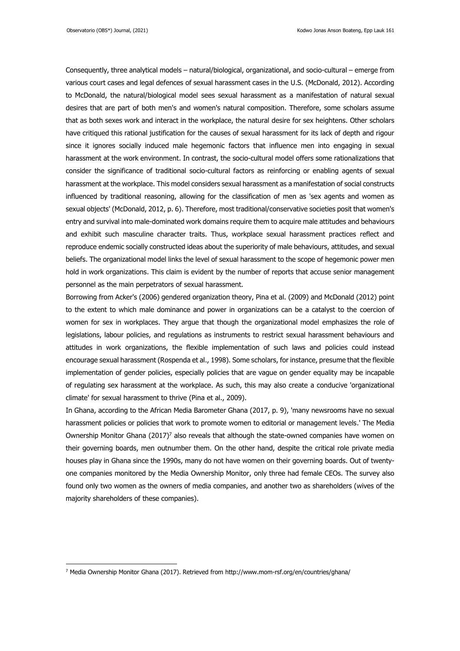Consequently, three analytical models – natural/biological, organizational, and socio-cultural – emerge from various court cases and legal defences of sexual harassment cases in the U.S. (McDonald, 2012). According to McDonald, the natural/biological model sees sexual harassment as a manifestation of natural sexual desires that are part of both men's and women's natural composition. Therefore, some scholars assume that as both sexes work and interact in the workplace, the natural desire for sex heightens. Other scholars have critiqued this rational justification for the causes of sexual harassment for its lack of depth and rigour since it ignores socially induced male hegemonic factors that influence men into engaging in sexual harassment at the work environment. In contrast, the socio-cultural model offers some rationalizations that consider the significance of traditional socio-cultural factors as reinforcing or enabling agents of sexual harassment at the workplace. This model considers sexual harassment as a manifestation of social constructs influenced by traditional reasoning, allowing for the classification of men as 'sex agents and women as sexual objects' (McDonald, 2012, p. 6). Therefore, most traditional/conservative societies posit that women's entry and survival into male-dominated work domains require them to acquire male attitudes and behaviours and exhibit such masculine character traits. Thus, workplace sexual harassment practices reflect and reproduce endemic socially constructed ideas about the superiority of male behaviours, attitudes, and sexual beliefs. The organizational model links the level of sexual harassment to the scope of hegemonic power men hold in work organizations. This claim is evident by the number of reports that accuse senior management personnel as the main perpetrators of sexual harassment.

Borrowing from Acker's (2006) gendered organization theory, Pina et al. (2009) and McDonald (2012) point to the extent to which male dominance and power in organizations can be a catalyst to the coercion of women for sex in workplaces. They argue that though the organizational model emphasizes the role of legislations, labour policies, and regulations as instruments to restrict sexual harassment behaviours and attitudes in work organizations, the flexible implementation of such laws and policies could instead encourage sexual harassment (Rospenda et al., 1998). Some scholars, for instance, presume that the flexible implementation of gender policies, especially policies that are vague on gender equality may be incapable of regulating sex harassment at the workplace. As such, this may also create a conducive 'organizational climate' for sexual harassment to thrive (Pina et al., 2009).

In Ghana, according to the African Media Barometer Ghana (2017, p. 9), 'many newsrooms have no sexual harassment policies or policies that work to promote women to editorial or management levels.' The Media Ownership Monitor Ghana (2017) <sup>7</sup> also reveals that although the state-owned companies have women on their governing boards, men outnumber them. On the other hand, despite the critical role private media houses play in Ghana since the 1990s, many do not have women on their governing boards. Out of twentyone companies monitored by the Media Ownership Monitor, only three had female CEOs. The survey also found only two women as the owners of media companies, and another two as shareholders (wives of the majority shareholders of these companies).

<sup>7</sup> Media Ownership Monitor Ghana (2017). Retrieved from [http://www.mom-rsf.org/en/countries/ghana/](about:blank)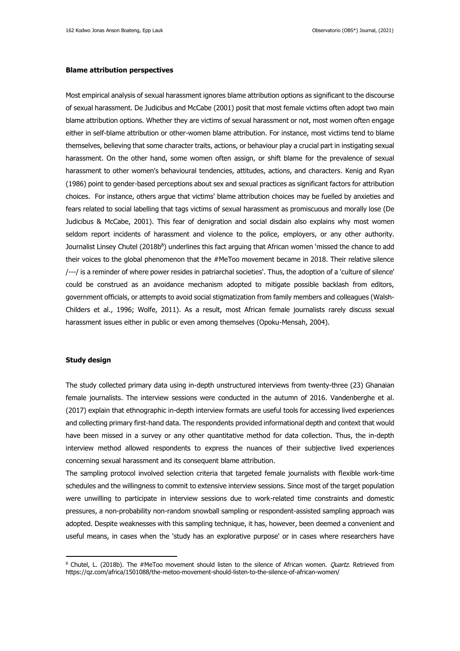### **Blame attribution perspectives**

Most empirical analysis of sexual harassment ignores blame attribution options as significant to the discourse of sexual harassment. De Judicibus and McCabe (2001) posit that most female victims often adopt two main blame attribution options. Whether they are victims of sexual harassment or not, most women often engage either in self-blame attribution or other-women blame attribution. For instance, most victims tend to blame themselves, believing that some character traits, actions, or behaviour play a crucial part in instigating sexual harassment. On the other hand, some women often assign, or shift blame for the prevalence of sexual harassment to other women's behavioural tendencies, attitudes, actions, and characters. Kenig and Ryan (1986) point to gender-based perceptions about sex and sexual practices as significant factors for attribution choices. For instance, others argue that victims' blame attribution choices may be fuelled by anxieties and fears related to social labelling that tags victims of sexual harassment as promiscuous and morally lose (De Judicibus & McCabe, 2001). This fear of denigration and social disdain also explains why most women seldom report incidents of harassment and violence to the police, employers, or any other authority. Journalist Linsey Chutel (2018b<sup>8</sup>) underlines this fact arguing that African women 'missed the chance to add their voices to the global phenomenon that the #MeToo movement became in 2018. Their relative silence /---/ is a reminder of where power resides in patriarchal societies'. Thus, the adoption of a 'culture of silence' could be construed as an avoidance mechanism adopted to mitigate possible backlash from editors, government officials, or attempts to avoid social stigmatization from family members and colleagues (Walsh-Childers et al., 1996; Wolfe, 2011). As a result, most African female journalists rarely discuss sexual harassment issues either in public or even among themselves (Opoku-Mensah, 2004).

## **Study design**

The study collected primary data using in-depth unstructured interviews from twenty-three (23) Ghanaian female journalists. The interview sessions were conducted in the autumn of 2016. Vandenberghe et al. (2017) explain that ethnographic in-depth interview formats are useful tools for accessing lived experiences and collecting primary first-hand data. The respondents provided informational depth and context that would have been missed in a survey or any other quantitative method for data collection. Thus, the in-depth interview method allowed respondents to express the nuances of their subjective lived experiences concerning sexual harassment and its consequent blame attribution.

The sampling protocol involved selection criteria that targeted female journalists with flexible work-time schedules and the willingness to commit to extensive interview sessions. Since most of the target population were unwilling to participate in interview sessions due to work-related time constraints and domestic pressures, a non-probability non-random snowball sampling or respondent-assisted sampling approach was adopted. Despite weaknesses with this sampling technique, it has, however, been deemed a convenient and useful means, in cases when the 'study has an explorative purpose' or in cases where researchers have

<sup>&</sup>lt;sup>8</sup> Chutel, L. (2018b). The #MeToo movement should listen to the silence of African women. *Quartz*. Retrieved from [https://qz.com/africa/1501088/the-metoo-movement-should-listen-to-the-silence-of-african-women/](about:blank)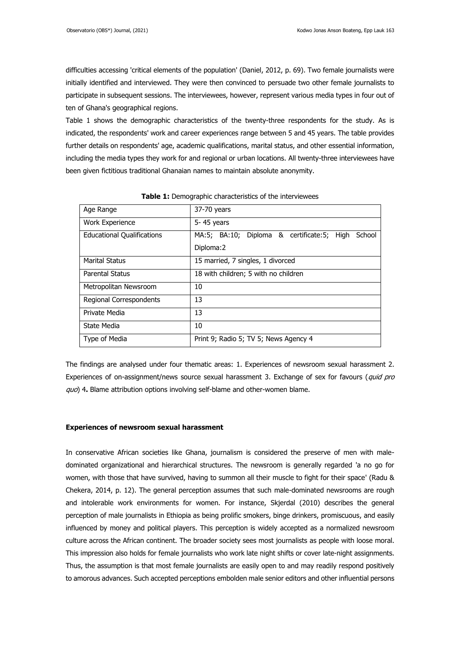difficulties accessing 'critical elements of the population' (Daniel, 2012, p. 69). Two female journalists were initially identified and interviewed. They were then convinced to persuade two other female journalists to participate in subsequent sessions. The interviewees, however, represent various media types in four out of ten of Ghana's geographical regions.

Table 1 shows the demographic characteristics of the twenty-three respondents for the study. As is indicated, the respondents' work and career experiences range between 5 and 45 years. The table provides further details on respondents' age, academic qualifications, marital status, and other essential information, including the media types they work for and regional or urban locations. All twenty-three interviewees have been given fictitious traditional Ghanaian names to maintain absolute anonymity.

| Age Range                         | 37-70 years                                          |
|-----------------------------------|------------------------------------------------------|
| <b>Work Experience</b>            | 5-45 years                                           |
| <b>Educational Qualifications</b> | MA:5; BA:10; Diploma & certificate:5; High<br>School |
|                                   | Diploma: 2                                           |
| <b>Marital Status</b>             | 15 married, 7 singles, 1 divorced                    |
| Parental Status                   | 18 with children; 5 with no children                 |
| Metropolitan Newsroom             | 10                                                   |
| Regional Correspondents           | 13                                                   |
| Private Media                     | 13                                                   |
| State Media                       | 10                                                   |
| Type of Media                     | Print 9; Radio 5; TV 5; News Agency 4                |

**Table 1:** Demographic characteristics of the interviewees

The findings are analysed under four thematic areas: 1. Experiences of newsroom sexual harassment 2. Experiences of on-assignment/news source sexual harassment 3. Exchange of sex for favours (quid pro quo) 4**.** Blame attribution options involving self-blame and other-women blame.

#### **Experiences of newsroom sexual harassment**

In conservative African societies like Ghana, journalism is considered the preserve of men with maledominated organizational and hierarchical structures. The newsroom is generally regarded 'a no go for women, with those that have survived, having to summon all their muscle to fight for their space' (Radu & Chekera, 2014, p. 12). The general perception assumes that such male-dominated newsrooms are rough and intolerable work environments for women. For instance, Skjerdal (2010) describes the general perception of male journalists in Ethiopia as being prolific smokers, binge drinkers, promiscuous, and easily influenced by money and political players. This perception is widely accepted as a normalized newsroom culture across the African continent. The broader society sees most journalists as people with loose moral. This impression also holds for female journalists who work late night shifts or cover late-night assignments. Thus, the assumption is that most female journalists are easily open to and may readily respond positively to amorous advances. Such accepted perceptions embolden male senior editors and other influential persons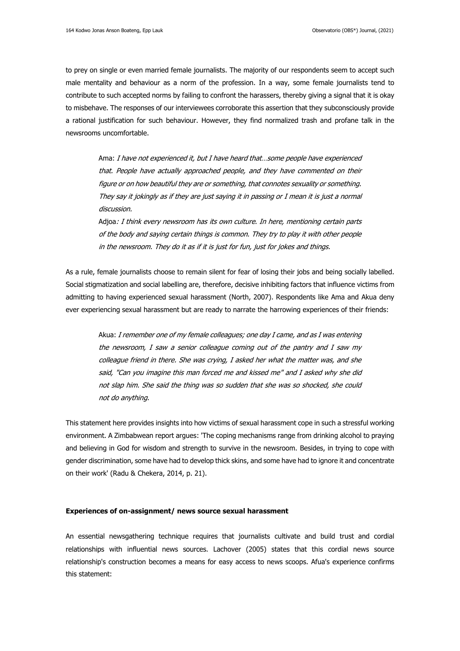to prey on single or even married female journalists. The majority of our respondents seem to accept such male mentality and behaviour as a norm of the profession. In a way, some female journalists tend to contribute to such accepted norms by failing to confront the harassers, thereby giving a signal that it is okay to misbehave. The responses of our interviewees corroborate this assertion that they subconsciously provide a rational justification for such behaviour. However, they find normalized trash and profane talk in the newsrooms uncomfortable.

Ama: I have not experienced it, but I have heard that...some people have experienced that. People have actually approached people, and they have commented on their figure or on how beautiful they are or something, that connotes sexuality or something. They say it jokingly as if they are just saying it in passing or I mean it is just a normal discussion.

Adjoa: I think every newsroom has its own culture. In here, mentioning certain parts of the body and saying certain things is common. They try to play it with other people in the newsroom. They do it as if it is just for fun, just for jokes and things.

As a rule, female journalists choose to remain silent for fear of losing their jobs and being socially labelled. Social stigmatization and social labelling are, therefore, decisive inhibiting factors that influence victims from admitting to having experienced sexual harassment (North, 2007). Respondents like Ama and Akua deny ever experiencing sexual harassment but are ready to narrate the harrowing experiences of their friends:

Akua: I remember one of my female colleagues; one day I came, and as I was entering the newsroom, I saw a senior colleague coming out of the pantry and I saw my colleague friend in there. She was crying, I asked her what the matter was, and she said, "Can you imagine this man forced me and kissed me" and I asked why she did not slap him. She said the thing was so sudden that she was so shocked, she could not do anything.

This statement here provides insights into how victims of sexual harassment cope in such a stressful working environment. A Zimbabwean report argues: 'The coping mechanisms range from drinking alcohol to praying and believing in God for wisdom and strength to survive in the newsroom. Besides, in trying to cope with gender discrimination, some have had to develop thick skins, and some have had to ignore it and concentrate on their work' (Radu & Chekera, 2014, p. 21).

## **Experiences of on-assignment/ news source sexual harassment**

An essential newsgathering technique requires that journalists cultivate and build trust and cordial relationships with influential news sources. Lachover (2005) states that this cordial news source relationship's construction becomes a means for easy access to news scoops. Afua's experience confirms this statement: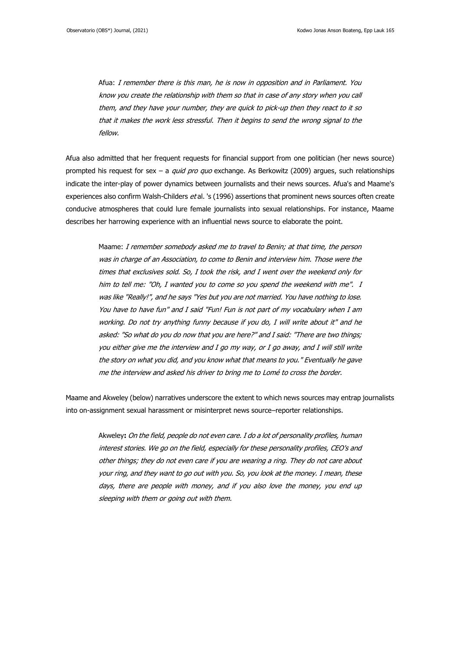Afua: I remember there is this man, he is now in opposition and in Parliament. You know you create the relationship with them so that in case of any story when you call them, and they have your number, they are quick to pick-up then they react to it so that it makes the work less stressful. Then it begins to send the wrong signal to the fellow.

Afua also admitted that her frequent requests for financial support from one politician (her news source) prompted his request for sex - a quid pro quo exchange. As Berkowitz (2009) argues, such relationships indicate the inter-play of power dynamics between journalists and their news sources. Afua's and Maame's experiences also confirm Walsh-Childers et al. 's (1996) assertions that prominent news sources often create conducive atmospheres that could lure female journalists into sexual relationships. For instance, Maame describes her harrowing experience with an influential news source to elaborate the point.

Maame: I remember somebody asked me to travel to Benin; at that time, the person was in charge of an Association, to come to Benin and interview him. Those were the times that exclusives sold. So, I took the risk, and I went over the weekend only for him to tell me: "Oh, I wanted you to come so you spend the weekend with me". I was like "Really!", and he says "Yes but you are not married. You have nothing to lose. You have to have fun" and I said "Fun! Fun is not part of my vocabulary when I am working. Do not try anything funny because if you do, I will write about it" and he asked: "So what do you do now that you are here?" and I said: "There are two things; you either give me the interview and I go my way, or I go away, and I will still write the story on what you did, and you know what that means to you." Eventually he gave me the interview and asked his driver to bring me to Lomé to cross the border.

Maame and Akweley (below) narratives underscore the extent to which news sources may entrap journalists into on-assignment sexual harassment or misinterpret news source–reporter relationships.

Akweley**:** On the field, people do not even care. I do a lot of personality profiles, human interest stories. We go on the field, especially for these personality profiles, CEO's and other things; they do not even care if you are wearing a ring. They do not care about your ring, and they want to go out with you. So, you look at the money. I mean, these days, there are people with money, and if you also love the money, you end up sleeping with them or going out with them.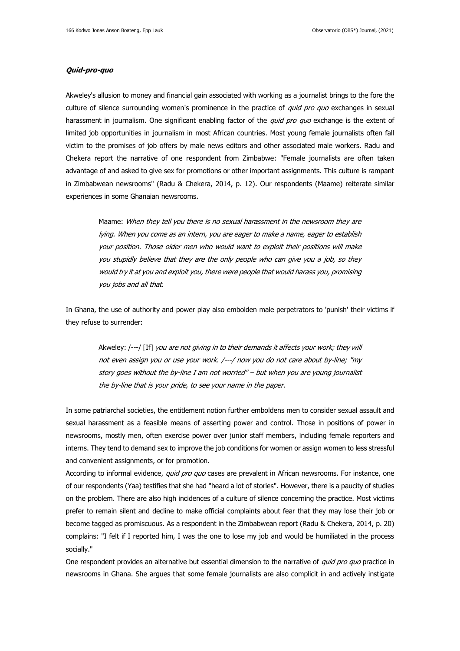## **Quid-pro-quo**

Akweley's allusion to money and financial gain associated with working as a journalist brings to the fore the culture of silence surrounding women's prominence in the practice of *quid pro quo* exchanges in sexual harassment in journalism. One significant enabling factor of the quid pro quo exchange is the extent of limited job opportunities in journalism in most African countries. Most young female journalists often fall victim to the promises of job offers by male news editors and other associated male workers. Radu and Chekera report the narrative of one respondent from Zimbabwe: "Female journalists are often taken advantage of and asked to give sex for promotions or other important assignments. This culture is rampant in Zimbabwean newsrooms" (Radu & Chekera, 2014, p. 12). Our respondents (Maame) reiterate similar experiences in some Ghanaian newsrooms.

Maame: When they tell you there is no sexual harassment in the newsroom they are lying. When you come as an intern, you are eager to make a name, eager to establish your position. Those older men who would want to exploit their positions will make you stupidly believe that they are the only people who can give you a job, so they would try it at you and exploit you, there were people that would harass you, promising you jobs and all that.

In Ghana, the use of authority and power play also embolden male perpetrators to 'punish' their victims if they refuse to surrender:

Akweley: /---/ [If] you are not giving in to their demands it affects your work; they will not even assign you or use your work. /---/ now you do not care about by-line; "my story goes without the by-line I am not worried" – but when you are young journalist the by-line that is your pride, to see your name in the paper.

In some patriarchal societies, the entitlement notion further emboldens men to consider sexual assault and sexual harassment as a feasible means of asserting power and control. Those in positions of power in newsrooms, mostly men, often exercise power over junior staff members, including female reporters and interns. They tend to demand sex to improve the job conditions for women or assign women to less stressful and convenient assignments, or for promotion.

According to informal evidence, quid pro quo cases are prevalent in African newsrooms. For instance, one of our respondents (Yaa) testifies that she had "heard a lot of stories". However, there is a paucity of studies on the problem. There are also high incidences of a culture of silence concerning the practice. Most victims prefer to remain silent and decline to make official complaints about fear that they may lose their job or become tagged as promiscuous. As a respondent in the Zimbabwean report (Radu & Chekera, 2014, p. 20) complains: "I felt if I reported him, I was the one to lose my job and would be humiliated in the process socially."

One respondent provides an alternative but essential dimension to the narrative of quid pro quo practice in newsrooms in Ghana. She argues that some female journalists are also complicit in and actively instigate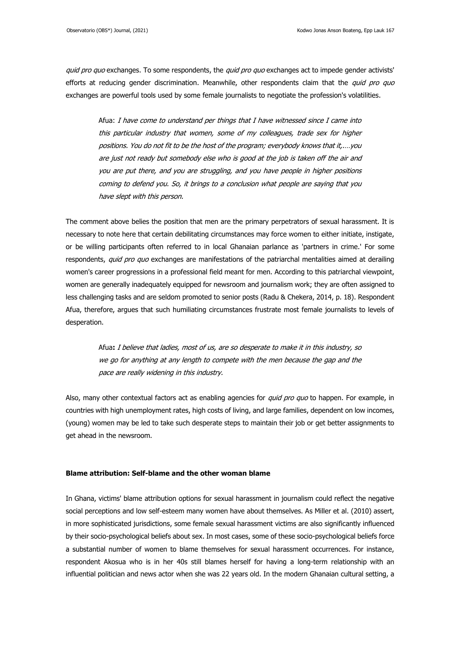quid pro quo exchanges. To some respondents, the quid pro quo exchanges act to impede gender activists' efforts at reducing gender discrimination. Meanwhile, other respondents claim that the *quid pro quo* exchanges are powerful tools used by some female journalists to negotiate the profession's volatilities.

Afua: I have come to understand per things that I have witnessed since I came into this particular industry that women, some of my colleagues, trade sex for higher positions. You do not fit to be the host of the program; everybody knows that it,.…you are just not ready but somebody else who is good at the job is taken off the air and you are put there, and you are struggling, and you have people in higher positions coming to defend you. So, it brings to a conclusion what people are saying that you have slept with this person.

The comment above belies the position that men are the primary perpetrators of sexual harassment. It is necessary to note here that certain debilitating circumstances may force women to either initiate, instigate, or be willing participants often referred to in local Ghanaian parlance as 'partners in crime.' For some respondents, quid pro quo exchanges are manifestations of the patriarchal mentalities aimed at derailing women's career progressions in a professional field meant for men. According to this patriarchal viewpoint, women are generally inadequately equipped for newsroom and journalism work; they are often assigned to less challenging tasks and are seldom promoted to senior posts (Radu & Chekera, 2014, p. 18). Respondent Afua, therefore, argues that such humiliating circumstances frustrate most female journalists to levels of desperation.

Afua**:** I believe that ladies, most of us, are so desperate to make it in this industry, so we go for anything at any length to compete with the men because the gap and the pace are really widening in this industry.

Also, many other contextual factors act as enabling agencies for quid pro quo to happen. For example, in countries with high unemployment rates, high costs of living, and large families, dependent on low incomes, (young) women may be led to take such desperate steps to maintain their job or get better assignments to get ahead in the newsroom.

## **Blame attribution: Self-blame and the other woman blame**

In Ghana, victims' blame attribution options for sexual harassment in journalism could reflect the negative social perceptions and low self-esteem many women have about themselves. As Miller et al. (2010) assert, in more sophisticated jurisdictions, some female sexual harassment victims are also significantly influenced by their socio-psychological beliefs about sex. In most cases, some of these socio-psychological beliefs force a substantial number of women to blame themselves for sexual harassment occurrences. For instance, respondent Akosua who is in her 40s still blames herself for having a long-term relationship with an influential politician and news actor when she was 22 years old. In the modern Ghanaian cultural setting, a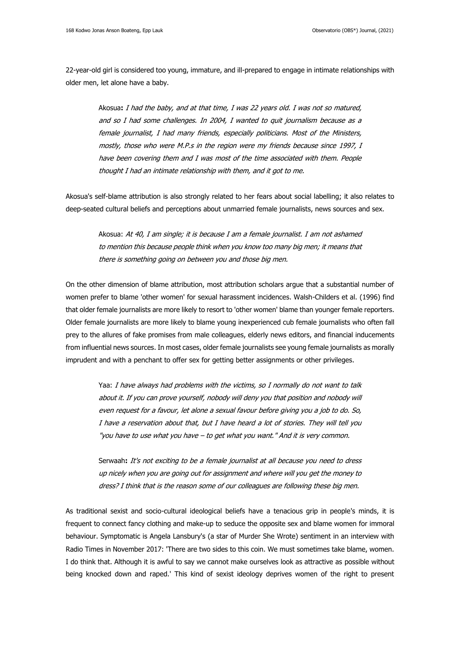22-year-old girl is considered too young, immature, and ill-prepared to engage in intimate relationships with older men, let alone have a baby.

Akosua**:** I had the baby, and at that time, I was 22 years old. I was not so matured, and so I had some challenges. In 2004, I wanted to quit journalism because as a female journalist, I had many friends, especially politicians. Most of the Ministers, mostly, those who were M.P.s in the region were my friends because since 1997, I have been covering them and I was most of the time associated with them. People thought I had an intimate relationship with them, and it got to me.

Akosua's self-blame attribution is also strongly related to her fears about social labelling; it also relates to deep-seated cultural beliefs and perceptions about unmarried female journalists, news sources and sex.

Akosua: At 40, I am single; it is because I am a female journalist. I am not ashamed to mention this because people think when you know too many big men; it means that there is something going on between you and those big men.

On the other dimension of blame attribution, most attribution scholars argue that a substantial number of women prefer to blame 'other women' for sexual harassment incidences. Walsh-Childers et al. (1996) find that older female journalists are more likely to resort to 'other women' blame than younger female reporters. Older female journalists are more likely to blame young inexperienced cub female journalists who often fall prey to the allures of fake promises from male colleagues, elderly news editors, and financial inducements from influential news sources. In most cases, older female journalists see young female journalists as morally imprudent and with a penchant to offer sex for getting better assignments or other privileges.

Yaa: I have always had problems with the victims, so I normally do not want to talk about it. If you can prove yourself, nobody will deny you that position and nobody will even request for a favour, let alone a sexual favour before giving you a job to do. So, I have a reservation about that, but I have heard a lot of stories. They will tell you "you have to use what you have – to get what you want." And it is very common.

Serwaah**:** It's not exciting to be a female journalist at all because you need to dress up nicely when you are going out for assignment and where will you get the money to dress? I think that is the reason some of our colleagues are following these big men.

As traditional sexist and socio-cultural ideological beliefs have a tenacious grip in people's minds, it is frequent to connect fancy clothing and make-up to seduce the opposite sex and blame women for immoral behaviour. Symptomatic is Angela Lansbury's (a star of Murder She Wrote) sentiment in an interview with Radio Times in November 2017: 'There are two sides to this coin. We must sometimes take blame, women. I do think that. Although it is awful to say we cannot make ourselves look as attractive as possible without being knocked down and raped.' This kind of sexist ideology deprives women of the right to present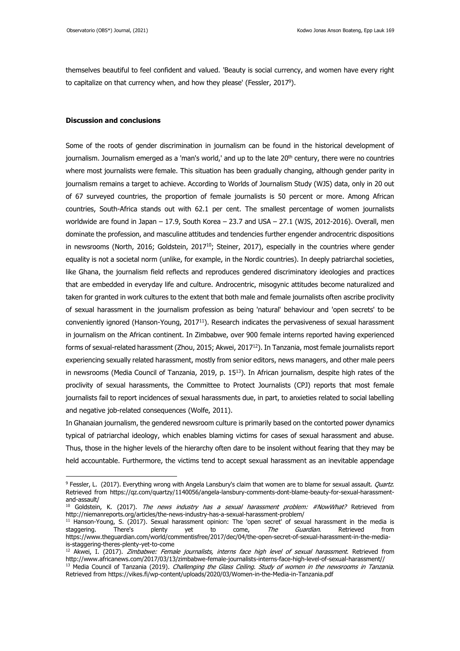themselves beautiful to feel confident and valued. 'Beauty is social currency, and women have every right to capitalize on that currency when, and how they please' (Fessler, 2017<sup>9</sup> ).

## **Discussion and conclusions**

Some of the roots of gender discrimination in journalism can be found in the historical development of journalism. Journalism emerged as a 'man's world,' and up to the late  $20<sup>th</sup>$  century, there were no countries where most journalists were female. This situation has been gradually changing, although gender parity in journalism remains a target to achieve. According to Worlds of Journalism Study (WJS) data, only in 20 out of 67 surveyed countries, the proportion of female journalists is 50 percent or more. Among African countries, South-Africa stands out with 62.1 per cent. The smallest percentage of women journalists worldwide are found in Japan – 17.9, South Korea – 23.7 and USA – 27.1 (WJS, 2012-2016). Overall, men dominate the profession, and masculine attitudes and tendencies further engender androcentric dispositions in newsrooms (North, 2016; Goldstein, 2017<sup>10</sup>; Steiner, 2017), especially in the countries where gender equality is not a societal norm (unlike, for example, in the Nordic countries). In deeply patriarchal societies, like Ghana, the journalism field reflects and reproduces gendered discriminatory ideologies and practices that are embedded in everyday life and culture. Androcentric, misogynic attitudes become naturalized and taken for granted in work cultures to the extent that both male and female journalists often ascribe proclivity of sexual harassment in the journalism profession as being 'natural' behaviour and 'open secrets' to be conveniently ignored (Hanson-Young, 2017<sup>11</sup>). Research indicates the pervasiveness of sexual harassment in journalism on the African continent. In Zimbabwe, over 900 female interns reported having experienced forms of sexual-related harassment (Zhou, 2015; Akwei, 2017<sup>12</sup>). In Tanzania, most female journalists report experiencing sexually related harassment, mostly from senior editors, news managers, and other male peers in newsrooms (Media Council of Tanzania, 2019, p. 15<sup>13</sup>). In African journalism, despite high rates of the proclivity of sexual harassments, the Committee to Protect Journalists (CPJ) reports that most female journalists fail to report incidences of sexual harassments due, in part, to anxieties related to social labelling and negative job-related consequences (Wolfe, 2011).

In Ghanaian journalism, the gendered newsroom culture is primarily based on the contorted power dynamics typical of patriarchal ideology, which enables blaming victims for cases of sexual harassment and abuse. Thus, those in the higher levels of the hierarchy often dare to be insolent without fearing that they may be held accountable. Furthermore, the victims tend to accept sexual harassment as an inevitable appendage

<sup>9</sup> Fessler, L. (2017). Everything wrong with Angela Lansbury's claim that women are to blame for sexual assault. *Quartz*. Retrieved from [https://qz.com/quartzy/1140056/angela-lansbury-comments-dont-blame-beauty-for-sexual-harassment](about:blank)[and-assault/](about:blank)

<sup>&</sup>lt;sup>10</sup> Goldstein, K. (2017). The news industry has a sexual harassment problem: #NowWhat? Retrieved from [http://niemanreports.org/articles/the-news-industry-has-a-sexual-harassment-problem/](about:blank)

<sup>&</sup>lt;sup>11</sup> Hanson-Young, S. (2017). Sexual harassment opinion: The 'open secret' of sexual harassment in the media is staggering. There's plenty yet to come, *The Guardian*. Retrieved from [https://www.theguardian.com/world/commentisfree/2017/dec/04/the-open-secret-of-sexual-harassment-in-the-media](about:blank)[is-staggering-theres-plenty-yet-to-come](about:blank)

<sup>&</sup>lt;sup>12</sup> Akwei, I. (2017). Zimbabwe: Female journalists, interns face high level of sexual harassment. Retrieved from [http://www.africanews.com/2017/03/13/zimbabwe-female-journalists-interns-face-high-level-of-sexual-harassment//](about:blank) <sup>13</sup> Media Council of Tanzania (2019). *Challenging the Glass Ceiling. Study of women in the newsrooms in Tanzania.* Retrieved from [https://vikes.fi/wp-content/uploads/2020/03/Women-in-the-Media-in-Tanzania.pdf](about:blank)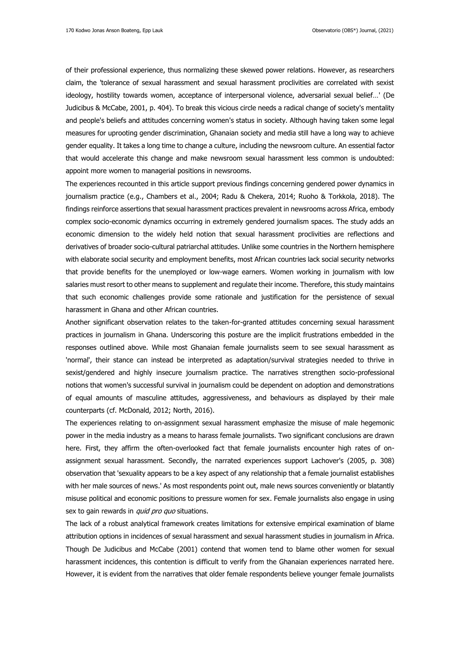of their professional experience, thus normalizing these skewed power relations. However, as researchers claim, the 'tolerance of sexual harassment and sexual harassment proclivities are correlated with sexist ideology, hostility towards women, acceptance of interpersonal violence, adversarial sexual belief…' (De Judicibus & McCabe, 2001, p. 404). To break this vicious circle needs a radical change of society's mentality and people's beliefs and attitudes concerning women's status in society. Although having taken some legal measures for uprooting gender discrimination, Ghanaian society and media still have a long way to achieve gender equality. It takes a long time to change a culture, including the newsroom culture. An essential factor that would accelerate this change and make newsroom sexual harassment less common is undoubted: appoint more women to managerial positions in newsrooms.

The experiences recounted in this article support previous findings concerning gendered power dynamics in journalism practice (e.g., Chambers et al., 2004; Radu & Chekera, 2014; Ruoho & Torkkola, 2018). The findings reinforce assertions that sexual harassment practices prevalent in newsrooms across Africa, embody complex socio-economic dynamics occurring in extremely gendered journalism spaces. The study adds an economic dimension to the widely held notion that sexual harassment proclivities are reflections and derivatives of broader socio-cultural patriarchal attitudes. Unlike some countries in the Northern hemisphere with elaborate social security and employment benefits, most African countries lack social security networks that provide benefits for the unemployed or low-wage earners. Women working in journalism with low salaries must resort to other means to supplement and regulate their income. Therefore, this study maintains that such economic challenges provide some rationale and justification for the persistence of sexual harassment in Ghana and other African countries.

Another significant observation relates to the taken-for-granted attitudes concerning sexual harassment practices in journalism in Ghana. Underscoring this posture are the implicit frustrations embedded in the responses outlined above. While most Ghanaian female journalists seem to see sexual harassment as 'normal', their stance can instead be interpreted as adaptation/survival strategies needed to thrive in sexist/gendered and highly insecure journalism practice. The narratives strengthen socio-professional notions that women's successful survival in journalism could be dependent on adoption and demonstrations of equal amounts of masculine attitudes, aggressiveness, and behaviours as displayed by their male counterparts (cf. McDonald, 2012; North, 2016).

The experiences relating to on-assignment sexual harassment emphasize the misuse of male hegemonic power in the media industry as a means to harass female journalists. Two significant conclusions are drawn here. First, they affirm the often-overlooked fact that female journalists encounter high rates of onassignment sexual harassment. Secondly, the narrated experiences support Lachover's (2005, p. 308) observation that 'sexuality appears to be a key aspect of any relationship that a female journalist establishes with her male sources of news.' As most respondents point out, male news sources conveniently or blatantly misuse political and economic positions to pressure women for sex. Female journalists also engage in using sex to gain rewards in quid pro quo situations.

The lack of a robust analytical framework creates limitations for extensive empirical examination of blame attribution options in incidences of sexual harassment and sexual harassment studies in journalism in Africa. Though De Judicibus and McCabe (2001) contend that women tend to blame other women for sexual harassment incidences, this contention is difficult to verify from the Ghanaian experiences narrated here. However, it is evident from the narratives that older female respondents believe younger female journalists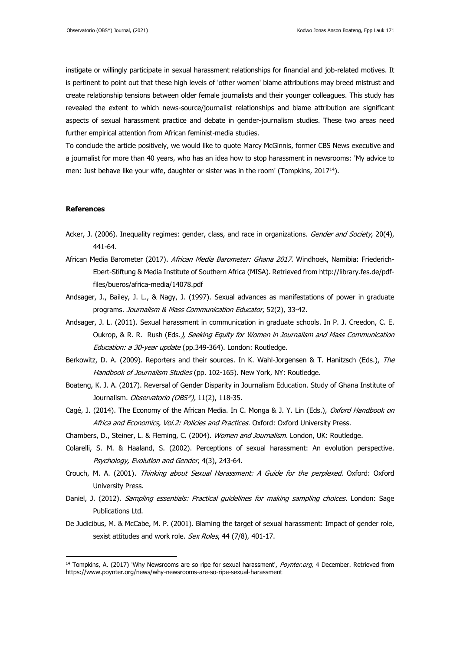instigate or willingly participate in sexual harassment relationships for financial and job-related motives. It is pertinent to point out that these high levels of 'other women' blame attributions may breed mistrust and create relationship tensions between older female journalists and their younger colleagues. This study has revealed the extent to which news-source/journalist relationships and blame attribution are significant aspects of sexual harassment practice and debate in gender-journalism studies. These two areas need further empirical attention from African feminist-media studies.

To conclude the article positively, we would like to quote Marcy McGinnis, former CBS News executive and a journalist for more than 40 years, who has an idea how to stop harassment in newsrooms: 'My advice to men: Just behave like your wife, daughter or sister was in the room' (Tompkins,  $2017^{14}$ ).

## **References**

- Acker, J. (2006). Inequality regimes: gender, class, and race in organizations. *Gender and Society*, 20(4), 441-64.
- African Media Barometer (2017). African Media Barometer: Ghana 2017. Windhoek, Namibia: Friederich-Ebert-Stiftung & Media Institute of Southern Africa (MISA). Retrieved from [http://library.fes.de/pdf](about:blank)[files/bueros/africa-media/14078.pdf](about:blank)
- Andsager, J., Bailey, J. L., & Nagy, J. (1997). Sexual advances as manifestations of power in graduate programs. Journalism & Mass Communication Educator, 52(2), 33-42.
- Andsager, J. L. (2011). Sexual harassment in communication in graduate schools. In P. J. Creedon, C. E. Oukrop, & R. R. Rush (Eds.), Seeking Equity for Women in Journalism and Mass Communication Education: a 30-year update (pp.349-364). London: Routledge.
- Berkowitz, D. A. (2009). Reporters and their sources. In K. Wahl-Jorgensen & T. Hanitzsch (Eds.), The Handbook of Journalism Studies (pp. 102-165). New York, NY: Routledge.
- Boateng, K. J. A. (2017). Reversal of Gender Disparity in Journalism Education. Study of Ghana Institute of Journalism. Observatorio (OBS\*), 11(2), 118-35.
- Cagé, J. (2014). The Economy of the African Media. In C. Monga & J. Y. Lin (Eds.), Oxford Handbook on Africa and Economics, Vol.2: Policies and Practices. Oxford: Oxford University Press.
- Chambers, D., Steiner, L. & Fleming, C. (2004). Women and Journalism. London, UK: Routledge.
- Colarelli, S. M. & Haaland, S. (2002). Perceptions of sexual harassment: An evolution perspective. Psychology, Evolution and Gender, 4(3), 243-64.
- Crouch, M. A. (2001). Thinking about Sexual Harassment: A Guide for the perplexed. Oxford: Oxford University Press.
- Daniel, J. (2012). Sampling essentials: Practical guidelines for making sampling choices. London: Sage Publications Ltd.
- De Judicibus, M. & McCabe, M. P. (2001). Blaming the target of sexual harassment: Impact of gender role, sexist attitudes and work role. Sex Roles, 44 (7/8), 401-17.

<sup>&</sup>lt;sup>14</sup> Tompkins, A. (2017) 'Why Newsrooms are so ripe for sexual harassment', *Poynter.org*, 4 December. Retrieved from [https://www.poynter.org/news/why-newsrooms-are-so-ripe-sexual-harassment](about:blank)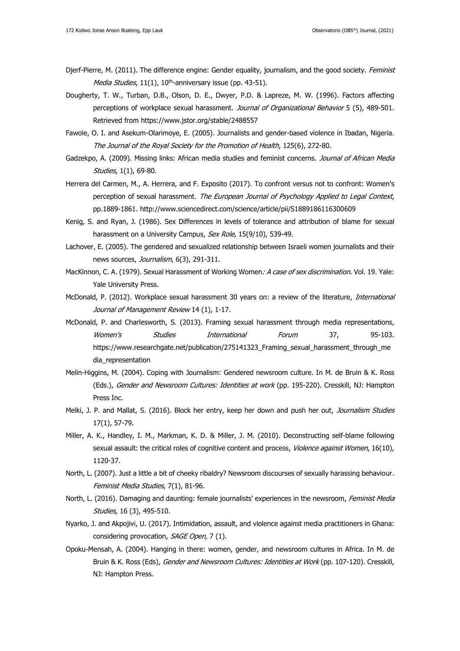- Djerf-Pierre, M. (2011). The difference engine: Gender equality, journalism, and the good society. Feminist Media Studies, 11(1), 10<sup>th</sup>-anniversary issue (pp. 43-51).
- Dougherty, T. W., Turban, D.B., Olson, D. E., Dwyer, P.D. & Lapreze, M. W. (1996). Factors affecting perceptions of workplace sexual harassment. Journal of Organizational Behavior 5 (5), 489-501. Retrieved from [https://www.jstor.org/stable/2488557](about:blank)
- Fawole, O. I. and Asekum-Olarimoye, E. (2005). Journalists and gender-based violence in Ibadan, Nigeria. The Journal of the Royal Society for the Promotion of Health, 125(6), 272-80.
- Gadzekpo, A. (2009). Missing links: African media studies and feminist concerns. Journal of African Media Studies, 1(1), 69-80.
- Herrera del Carmen, M., A. Herrera, and F. Exposito (2017). To confront versus not to confront: Women's perception of sexual harassment. The European Journal of Psychology Applied to Legal Context, pp.1889-1861. [http://www.sciencedirect.com/science/article/pii/S1889186116300609](about:blank)
- Kenig, S. and Ryan, J. (1986). Sex Differences in levels of tolerance and attribution of blame for sexual harassment on a University Campus, Sex Role, 15(9/10), 539-49.
- Lachover, E. (2005). The gendered and sexualized relationship between Israeli women journalists and their news sources, Journalism, 6(3), 291-311.
- MacKinnon, C. A. (1979). Sexual Harassment of Working Women: A case of sex discrimination. Vol. 19. Yale: Yale University Press.
- McDonald, P. (2012). Workplace sexual harassment 30 years on: a review of the literature, International Journal of Management Review 14 (1), 1-17.
- McDonald, P. and Charlesworth, S. (2013). Framing sexual harassment through media representations, Women's Studies International Forum 37, 95-103. [https://www.researchgate.net/publication/275141323\\_Framing\\_sexual\\_harassment\\_through\\_me](about:blank) [dia\\_representation](about:blank)
- Melin-Higgins, M. (2004). Coping with Journalism: Gendered newsroom culture. In M. de Bruin & K. Ross (Eds.), Gender and Newsroom Cultures: Identities at work (pp. 195-220). Cresskill, NJ: Hampton Press Inc.
- Melki, J. P. and Mallat, S. (2016). Block her entry, keep her down and push her out, Journalism Studies 17(1), 57-79.
- Miller, A. K., Handley, I. M., Markman, K. D. & Miller, J. M. (2010). Deconstructing self-blame following sexual assault: the critical roles of cognitive content and process, Violence against Women, 16(10), 1120-37.
- North, L. (2007). Just a little a bit of cheeky ribaldry? Newsroom discourses of sexually harassing behaviour. Feminist Media Studies, 7(1), 81-96.
- North, L. (2016). Damaging and daunting: female journalists' experiences in the newsroom, Feminist Media Studies, 16 (3), 495-510.
- Nyarko, J. and Akpojivi, U. (2017). Intimidation, assault, and violence against media practitioners in Ghana: considering provocation, SAGE Open, 7 (1).
- Opoku-Mensah, A. (2004). Hanging in there: women, gender, and newsroom cultures in Africa. In M. de Bruin & K. Ross (Eds), Gender and Newsroom Cultures: Identities at Work (pp. 107-120). Cresskill, NJ: Hampton Press.